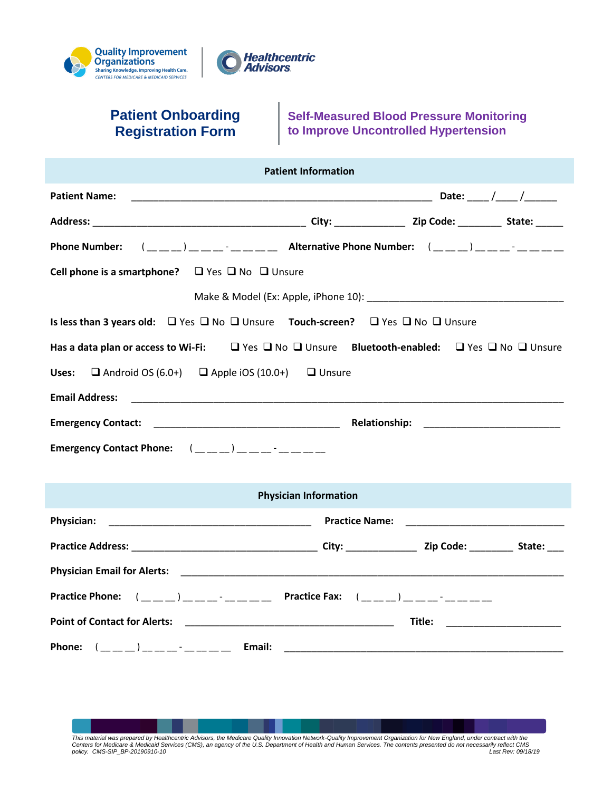



## **Patient Onboarding Registration Form**

**Self-Measured Blood Pressure Monitoring to Improve Uncontrolled Hypertension**

| <b>Patient Information</b>                                                                                                                                                                                                                                                                                                                                                                                                                                                                                                                                              |  |  |
|-------------------------------------------------------------------------------------------------------------------------------------------------------------------------------------------------------------------------------------------------------------------------------------------------------------------------------------------------------------------------------------------------------------------------------------------------------------------------------------------------------------------------------------------------------------------------|--|--|
| <b>Patient Name:</b>                                                                                                                                                                                                                                                                                                                                                                                                                                                                                                                                                    |  |  |
|                                                                                                                                                                                                                                                                                                                                                                                                                                                                                                                                                                         |  |  |
|                                                                                                                                                                                                                                                                                                                                                                                                                                                                                                                                                                         |  |  |
| Cell phone is a smartphone? $\Box$ Yes $\Box$ No $\Box$ Unsure                                                                                                                                                                                                                                                                                                                                                                                                                                                                                                          |  |  |
|                                                                                                                                                                                                                                                                                                                                                                                                                                                                                                                                                                         |  |  |
| Is less than 3 years old: $\Box$ Yes $\Box$ No $\Box$ Unsure Touch-screen? $\Box$ Yes $\Box$ No $\Box$ Unsure                                                                                                                                                                                                                                                                                                                                                                                                                                                           |  |  |
| Has a data plan or access to Wi-Fi:<br>U Yes<br>U Yes<br>U Ves  U No   U Unsure  Bluetooth-enabled:  U Yes  U No  U Unsure                                                                                                                                                                                                                                                                                                                                                                                                                                              |  |  |
| $\Box$ Android OS (6.0+) $\Box$ Apple iOS (10.0+) $\Box$ Unsure<br>Uses:                                                                                                                                                                                                                                                                                                                                                                                                                                                                                                |  |  |
| <b>Email Address:</b>                                                                                                                                                                                                                                                                                                                                                                                                                                                                                                                                                   |  |  |
|                                                                                                                                                                                                                                                                                                                                                                                                                                                                                                                                                                         |  |  |
| Emergency Contact Phone: $(\underline{\hspace{1cm}}\underline{\hspace{1cm}}\underline{\hspace{1cm}}\underline{\hspace{1cm}}\underline{\hspace{1cm}}\underline{\hspace{1cm}}\underline{\hspace{1cm}}\underline{\hspace{1cm}}\underline{\hspace{1cm}}\underline{\hspace{1cm}}\underline{\hspace{1cm}}\underline{\hspace{1cm}}\underline{\hspace{1cm}}\underline{\hspace{1cm}}\underline{\hspace{1cm}}\underline{\hspace{1cm}}\underline{\hspace{1cm}}\underline{\hspace{1cm}}\underline{\hspace{1cm}}\underline{\hspace{1cm}}\underline{\hspace{1cm}}\underline{\hspace{$ |  |  |
|                                                                                                                                                                                                                                                                                                                                                                                                                                                                                                                                                                         |  |  |
| <b>Physician Information</b>                                                                                                                                                                                                                                                                                                                                                                                                                                                                                                                                            |  |  |
| <b>Physician:</b>                                                                                                                                                                                                                                                                                                                                                                                                                                                                                                                                                       |  |  |
|                                                                                                                                                                                                                                                                                                                                                                                                                                                                                                                                                                         |  |  |
| Physician Email for Alerts: 2009, 2009, 2009, 2009, 2009, 2009, 2009, 2009, 2009, 2009, 2009, 2009, 2009, 2009                                                                                                                                                                                                                                                                                                                                                                                                                                                          |  |  |
|                                                                                                                                                                                                                                                                                                                                                                                                                                                                                                                                                                         |  |  |
|                                                                                                                                                                                                                                                                                                                                                                                                                                                                                                                                                                         |  |  |
|                                                                                                                                                                                                                                                                                                                                                                                                                                                                                                                                                                         |  |  |

This material was prepared by Healthcentric Advisors, the Medicare Quality Innovation Network-Quality Improvement Organization for New England, under contract with the<br>Centers for Medicare & Medicaid Services (CMS), an age